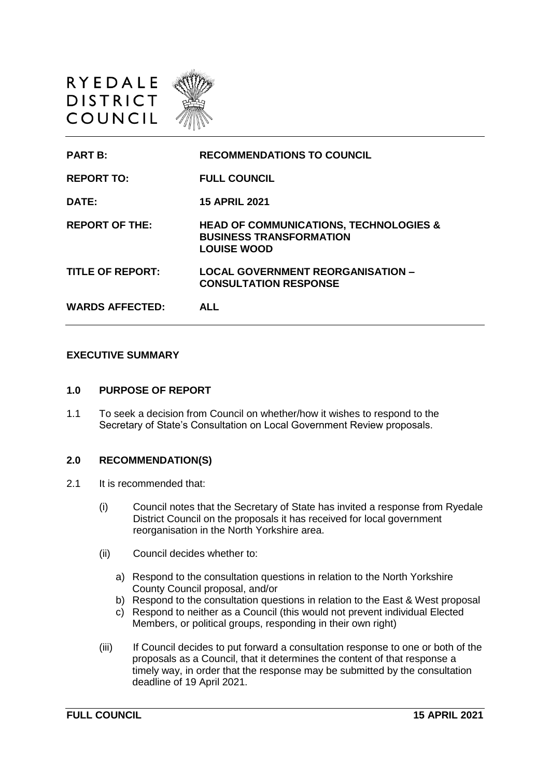



#### **EXECUTIVE SUMMARY**

#### **1.0 PURPOSE OF REPORT**

1.1 To seek a decision from Council on whether/how it wishes to respond to the Secretary of State's Consultation on Local Government Review proposals.

### **2.0 RECOMMENDATION(S)**

- 2.1 It is recommended that:
	- (i) Council notes that the Secretary of State has invited a response from Ryedale District Council on the proposals it has received for local government reorganisation in the North Yorkshire area.
	- (ii) Council decides whether to:
		- a) Respond to the consultation questions in relation to the North Yorkshire County Council proposal, and/or
		- b) Respond to the consultation questions in relation to the East & West proposal
		- c) Respond to neither as a Council (this would not prevent individual Elected Members, or political groups, responding in their own right)
	- (iii) If Council decides to put forward a consultation response to one or both of the proposals as a Council, that it determines the content of that response a timely way, in order that the response may be submitted by the consultation deadline of 19 April 2021.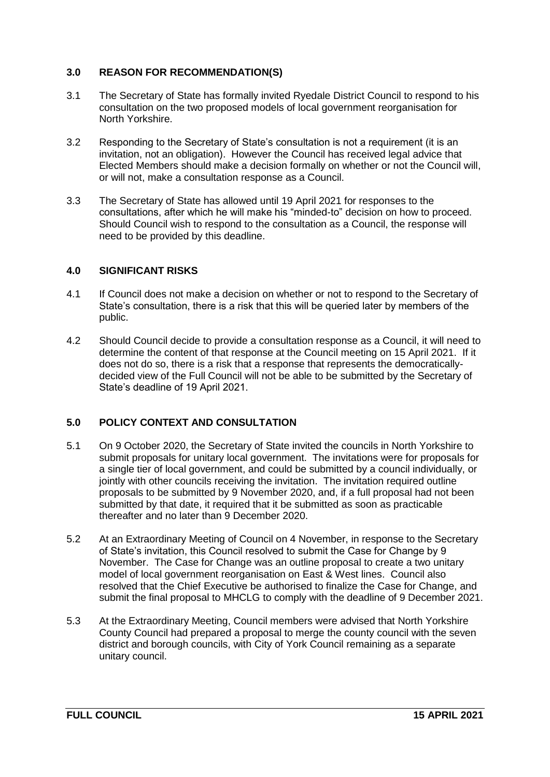## **3.0 REASON FOR RECOMMENDATION(S)**

- 3.1 The Secretary of State has formally invited Ryedale District Council to respond to his consultation on the two proposed models of local government reorganisation for North Yorkshire.
- 3.2 Responding to the Secretary of State's consultation is not a requirement (it is an invitation, not an obligation). However the Council has received legal advice that Elected Members should make a decision formally on whether or not the Council will, or will not, make a consultation response as a Council.
- 3.3 The Secretary of State has allowed until 19 April 2021 for responses to the consultations, after which he will make his "minded-to" decision on how to proceed. Should Council wish to respond to the consultation as a Council, the response will need to be provided by this deadline.

### **4.0 SIGNIFICANT RISKS**

- 4.1 If Council does not make a decision on whether or not to respond to the Secretary of State's consultation, there is a risk that this will be queried later by members of the public.
- 4.2 Should Council decide to provide a consultation response as a Council, it will need to determine the content of that response at the Council meeting on 15 April 2021. If it does not do so, there is a risk that a response that represents the democraticallydecided view of the Full Council will not be able to be submitted by the Secretary of State's deadline of 19 April 2021.

# **5.0 POLICY CONTEXT AND CONSULTATION**

- 5.1 On 9 October 2020, the Secretary of State invited the councils in North Yorkshire to submit proposals for unitary local government. The invitations were for proposals for a single tier of local government, and could be submitted by a council individually, or jointly with other councils receiving the invitation. The invitation required outline proposals to be submitted by 9 November 2020, and, if a full proposal had not been submitted by that date, it required that it be submitted as soon as practicable thereafter and no later than 9 December 2020.
- 5.2 At an Extraordinary Meeting of Council on 4 November, in response to the Secretary of State's invitation, this Council resolved to submit the Case for Change by 9 November. The Case for Change was an outline proposal to create a two unitary model of local government reorganisation on East & West lines. Council also resolved that the Chief Executive be authorised to finalize the Case for Change, and submit the final proposal to MHCLG to comply with the deadline of 9 December 2021.
- 5.3 At the Extraordinary Meeting, Council members were advised that North Yorkshire County Council had prepared a proposal to merge the county council with the seven district and borough councils, with City of York Council remaining as a separate unitary council.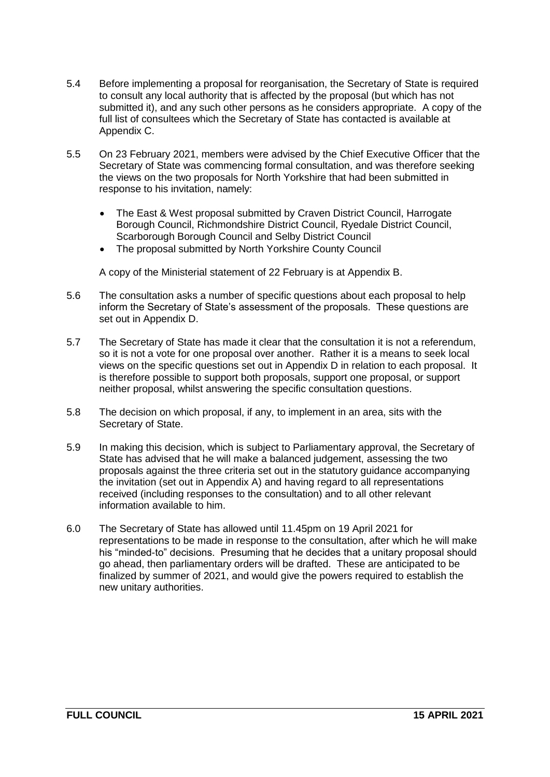- 5.4 Before implementing a proposal for reorganisation, the Secretary of State is required to consult any local authority that is affected by the proposal (but which has not submitted it), and any such other persons as he considers appropriate. A copy of the full list of consultees which the Secretary of State has contacted is available at Appendix C.
- 5.5 On 23 February 2021, members were advised by the Chief Executive Officer that the Secretary of State was commencing formal consultation, and was therefore seeking the views on the two proposals for North Yorkshire that had been submitted in response to his invitation, namely:
	- The East & West proposal submitted by Craven District Council, Harrogate Borough Council, Richmondshire District Council, Ryedale District Council, Scarborough Borough Council and Selby District Council
	- The proposal submitted by North Yorkshire County Council

A copy of the Ministerial statement of 22 February is at Appendix B.

- 5.6 The consultation asks a number of specific questions about each proposal to help inform the Secretary of State's assessment of the proposals. These questions are set out in Appendix D.
- 5.7 The Secretary of State has made it clear that the consultation it is not a referendum, so it is not a vote for one proposal over another. Rather it is a means to seek local views on the specific questions set out in Appendix D in relation to each proposal. It is therefore possible to support both proposals, support one proposal, or support neither proposal, whilst answering the specific consultation questions.
- 5.8 The decision on which proposal, if any, to implement in an area, sits with the Secretary of State.
- 5.9 In making this decision, which is subject to Parliamentary approval, the Secretary of State has advised that he will make a balanced judgement, assessing the two proposals against the three criteria set out in the statutory guidance accompanying the invitation (set out in Appendix A) and having regard to all representations received (including responses to the consultation) and to all other relevant information available to him.
- 6.0 The Secretary of State has allowed until 11.45pm on 19 April 2021 for representations to be made in response to the consultation, after which he will make his "minded-to" decisions. Presuming that he decides that a unitary proposal should go ahead, then parliamentary orders will be drafted. These are anticipated to be finalized by summer of 2021, and would give the powers required to establish the new unitary authorities.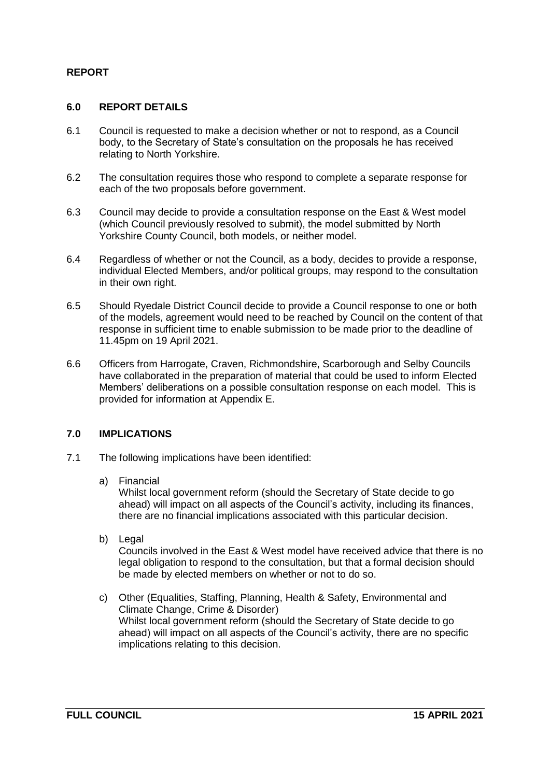# **REPORT**

### **6.0 REPORT DETAILS**

- 6.1 Council is requested to make a decision whether or not to respond, as a Council body, to the Secretary of State's consultation on the proposals he has received relating to North Yorkshire.
- 6.2 The consultation requires those who respond to complete a separate response for each of the two proposals before government.
- 6.3 Council may decide to provide a consultation response on the East & West model (which Council previously resolved to submit), the model submitted by North Yorkshire County Council, both models, or neither model.
- 6.4 Regardless of whether or not the Council, as a body, decides to provide a response, individual Elected Members, and/or political groups, may respond to the consultation in their own right.
- 6.5 Should Ryedale District Council decide to provide a Council response to one or both of the models, agreement would need to be reached by Council on the content of that response in sufficient time to enable submission to be made prior to the deadline of 11.45pm on 19 April 2021.
- 6.6 Officers from Harrogate, Craven, Richmondshire, Scarborough and Selby Councils have collaborated in the preparation of material that could be used to inform Elected Members' deliberations on a possible consultation response on each model. This is provided for information at Appendix E.

### **7.0 IMPLICATIONS**

- 7.1 The following implications have been identified:
	- a) Financial

Whilst local government reform (should the Secretary of State decide to go ahead) will impact on all aspects of the Council's activity, including its finances, there are no financial implications associated with this particular decision.

b) Legal

Councils involved in the East & West model have received advice that there is no legal obligation to respond to the consultation, but that a formal decision should be made by elected members on whether or not to do so.

c) Other (Equalities, Staffing, Planning, Health & Safety, Environmental and Climate Change, Crime & Disorder) Whilst local government reform (should the Secretary of State decide to go ahead) will impact on all aspects of the Council's activity, there are no specific implications relating to this decision.